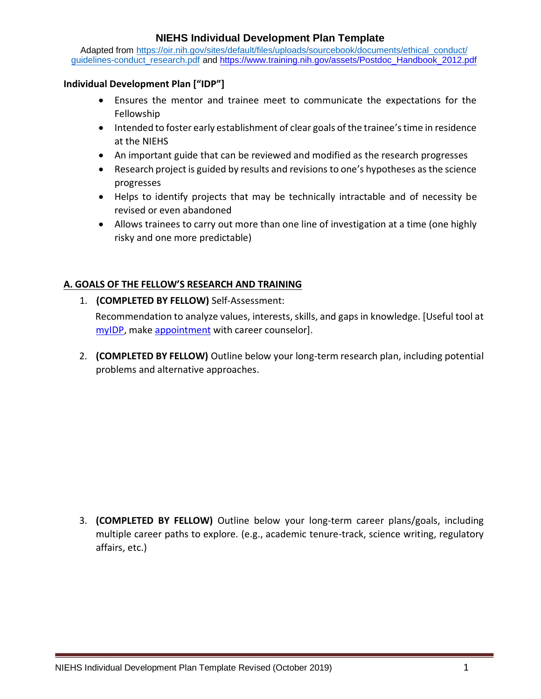Adapted [from https://oir.nih.gov/sites/default/files/uploads/sourcebook/documents/ethical\\_conduct/](https://oir.nih.gov/sites/default/files/uploads/sourcebook/documents/ethical_conduct/guidelines-conduct_research.pdf) [guidelines-conduct\\_research.pdf](https://oir.nih.gov/sites/default/files/uploads/sourcebook/documents/ethical_conduct/guidelines-conduct_research.pdf) and [https://www.training.nih.gov/assets/Postdoc\\_Handbook\\_2012.pdf](https://www.training.nih.gov/assets/Postdoc_Handbook_2012.pdf)

#### **Individual Development Plan ["IDP"]**

- Ensures the mentor and trainee meet to communicate the expectations for the Fellowship
- Intended to foster early establishment of clear goals of the trainee's time in residence at the NIEHS
- An important guide that can be reviewed and modified as the research progresses
- Research project is guided by results and revisions to one's hypotheses as the science progresses
- Helps to identify projects that may be technically intractable and of necessity be revised or even abandoned
- Allows trainees to carry out more than one line of investigation at a time (one highly risky and one more predictable)

### **A. GOALS OF THE FELLOW'S RESEARCH AND TRAINING**

1. **(COMPLETED BY FELLOW)** Self-Assessment:

Recommendation to analyze values, interests, skills, and gaps in knowledge. [Useful tool at [myIDP,](http://myidp.sciencecareers.org/) make [appointment](https://www.training.nih.gov/career_services/appointments) with career counselor].

2. **(COMPLETED BY FELLOW)** Outline below your long-term research plan, including potential problems and alternative approaches.

3. **(COMPLETED BY FELLOW)** Outline below your long-term career plans/goals, including multiple career paths to explore. (e.g., academic tenure-track, science writing, regulatory affairs, etc.)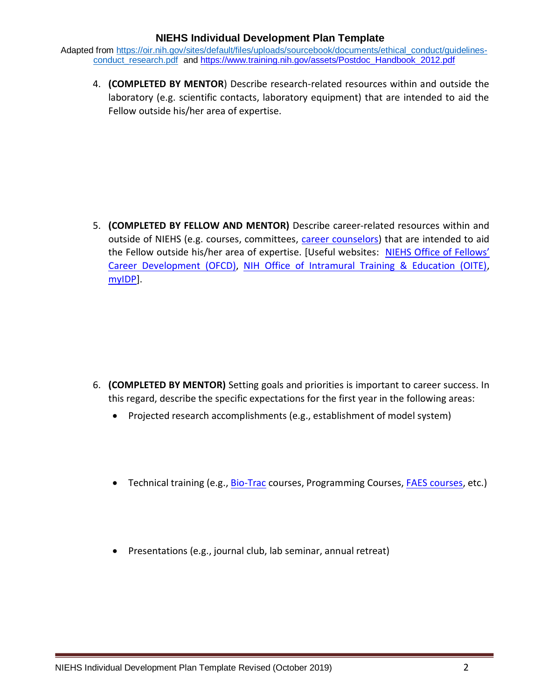Adapted from [https://oir.nih.gov/sites/default/files/uploads/sourcebook/documents/ethical\\_conduct/guidelines](https://oir.nih.gov/sites/default/files/uploads/sourcebook/documents/ethical_conduct/guidelines-conduct_research.pdf)[conduct\\_research.pdf](https://oir.nih.gov/sites/default/files/uploads/sourcebook/documents/ethical_conduct/guidelines-conduct_research.pdf) and [https://www.training.nih.gov/assets/Postdoc\\_Handbook\\_2012.pdf](https://www.training.nih.gov/assets/Postdoc_Handbook_2012.pdf)

4. **(COMPLETED BY MENTOR**) Describe research-related resources within and outside the laboratory (e.g. scientific contacts, laboratory equipment) that are intended to aid the Fellow outside his/her area of expertise.

5. **(COMPLETED BY FELLOW AND MENTOR)** Describe career-related resources within and outside of NIEHS (e.g. courses, committees, [career counselors\)](https://www.training.nih.gov/staff) that are intended to aid the Fellow outside his/her area of expertise. [Useful websites: [NIEHS Office of Fellows'](http://junction.niehs.nih.gov/divisions/dir/career/fellow/)  [Career Development \(OFCD\),](http://junction.niehs.nih.gov/divisions/dir/career/fellow/) [NIH Office of Intramural Training & Education \(OITE\),](http://www.training.nih.gov/) [myIDP\].](http://myidp.sciencecareers.org/)

- 6. **(COMPLETED BY MENTOR)** Setting goals and priorities is important to career success. In this regard, describe the specific expectations for the first year in the following areas:
	- Projected research accomplishments (e.g., establishment of model system)
	- Technical training (e.g., [Bio-Trac](http://www.biotrac.com/) courses, Programming Courses, [FAES courses,](http://www.faes.org/grad) etc.)
	- Presentations (e.g., journal club, lab seminar, annual retreat)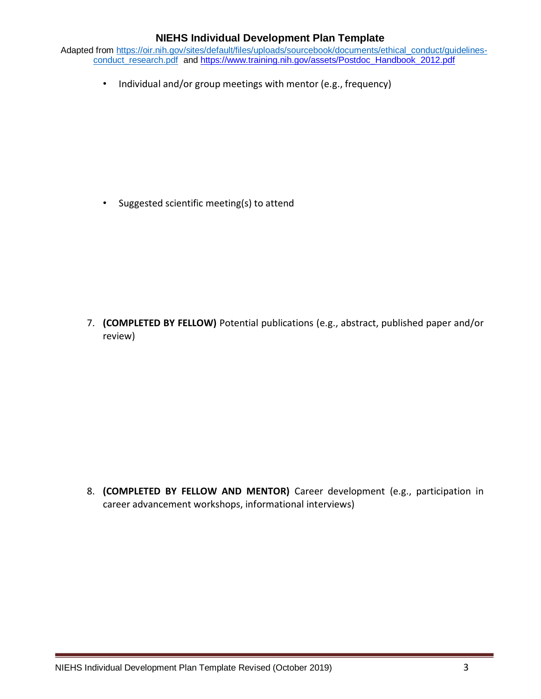Adapted from [https://oir.nih.gov/sites/default/files/uploads/sourcebook/documents/ethical\\_conduct/guidelines](https://oir.nih.gov/sites/default/files/uploads/sourcebook/documents/ethical_conduct/guidelines-conduct_research.pdf)[conduct\\_research.pdf](https://oir.nih.gov/sites/default/files/uploads/sourcebook/documents/ethical_conduct/guidelines-conduct_research.pdf) and [https://www.training.nih.gov/assets/Postdoc\\_Handbook\\_2012.pdf](https://www.training.nih.gov/assets/Postdoc_Handbook_2012.pdf)

• Individual and/or group meetings with mentor (e.g., frequency)

• Suggested scientific meeting(s) to attend

7. **(COMPLETED BY FELLOW)** Potential publications (e.g., abstract, published paper and/or review)

8. **(COMPLETED BY FELLOW AND MENTOR)** Career development (e.g., participation in career advancement workshops, informational interviews)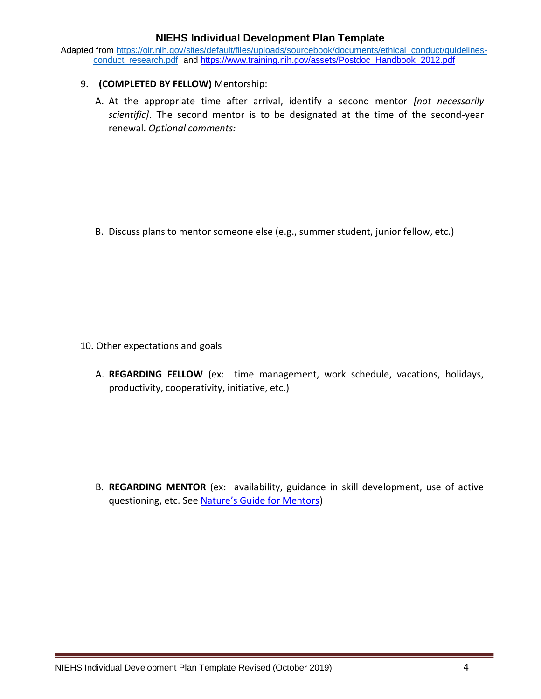Adapted from [https://oir.nih.gov/sites/default/files/uploads/sourcebook/documents/ethical\\_conduct/guidelines](https://oir.nih.gov/sites/default/files/uploads/sourcebook/documents/ethical_conduct/guidelines-conduct_research.pdf)[conduct\\_research.pdf](https://oir.nih.gov/sites/default/files/uploads/sourcebook/documents/ethical_conduct/guidelines-conduct_research.pdf) an[d https://www.training.nih.gov/assets/Postdoc\\_Handbook\\_2012.pdf](https://www.training.nih.gov/assets/Postdoc_Handbook_2012.pdf)

### 9. **(COMPLETED BY FELLOW)** Mentorship:

A. At the appropriate time after arrival, identify a second mentor *[not necessarily scientific]*. The second mentor is to be designated at the time of the second-year renewal. *Optional comments:*

B. Discuss plans to mentor someone else (e.g., summer student, junior fellow, etc.)

- 10. Other expectations and goals
	- A. **REGARDING FELLOW** (ex: time management, work schedule, vacations, holidays, productivity, cooperativity, initiative, etc.)

B. **REGARDING MENTOR** (ex: availability, guidance in skill development, use of active questioning, etc. See [Nature's Guide for Mentors](http://www.nature.com/nature/journal/v447/n7146/pdf/447791a.pdf))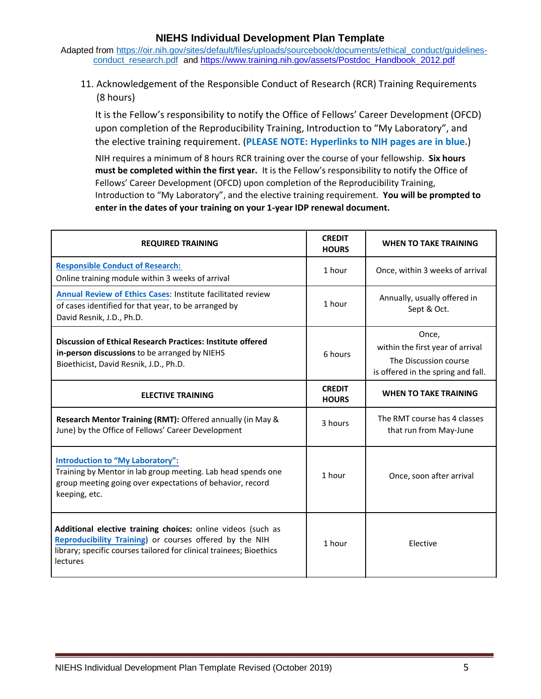Adapted from [https://oir.nih.gov/sites/default/files/uploads/sourcebook/documents/ethical\\_conduct/guidelines](https://oir.nih.gov/sites/default/files/uploads/sourcebook/documents/ethical_conduct/guidelines-conduct_research.pdf)[conduct\\_research.pdf](https://oir.nih.gov/sites/default/files/uploads/sourcebook/documents/ethical_conduct/guidelines-conduct_research.pdf) and [https://www.training.nih.gov/assets/Postdoc\\_Handbook\\_2012.pdf](https://www.training.nih.gov/assets/Postdoc_Handbook_2012.pdf)

11. Acknowledgement of the Responsible Conduct of Research (RCR) Training Requirements (8 hours)

It is the Fellow's responsibility to notify the Office of Fellows' Career Development (OFCD) upon completion of the Reproducibility Training, Introduction to "My Laboratory", and the elective training requirement. (**PLEASE NOTE: Hyperlinks to NIH pages are in blue.**)

NIH requires a minimum of 8 hours RCR training over the course of your fellowship. **Six hours must be completed within the first year.** It is the Fellow's responsibility to notify the Office of Fellows' Career Development (OFCD) upon completion of the Reproducibility Training, Introduction to "My Laboratory", and the elective training requirement. **You will be prompted to enter in the dates of your training on your 1-year IDP renewal document.**

| <b>REQUIRED TRAINING</b>                                                                                                                                                                                   | <b>CREDIT</b><br><b>HOURS</b> | <b>WHEN TO TAKE TRAINING</b>                                                                             |  |
|------------------------------------------------------------------------------------------------------------------------------------------------------------------------------------------------------------|-------------------------------|----------------------------------------------------------------------------------------------------------|--|
| <b>Responsible Conduct of Research:</b><br>Online training module within 3 weeks of arrival                                                                                                                | 1 hour                        | Once, within 3 weeks of arrival                                                                          |  |
| <b>Annual Review of Ethics Cases: Institute facilitated review</b><br>of cases identified for that year, to be arranged by<br>David Resnik, J.D., Ph.D.                                                    | 1 hour                        | Annually, usually offered in<br>Sept & Oct.                                                              |  |
| <b>Discussion of Ethical Research Practices: Institute offered</b><br>in-person discussions to be arranged by NIEHS<br>Bioethicist, David Resnik, J.D., Ph.D.                                              | 6 hours                       | Once,<br>within the first year of arrival<br>The Discussion course<br>is offered in the spring and fall. |  |
| <b>ELECTIVE TRAINING</b>                                                                                                                                                                                   | <b>CREDIT</b><br><b>HOURS</b> | <b>WHEN TO TAKE TRAINING</b>                                                                             |  |
| Research Mentor Training (RMT): Offered annually (in May &<br>June) by the Office of Fellows' Career Development                                                                                           | 3 hours                       | The RMT course has 4 classes<br>that run from May-June                                                   |  |
| <b>Introduction to "My Laboratory":</b><br>Training by Mentor in lab group meeting. Lab head spends one<br>group meeting going over expectations of behavior, record<br>keeping, etc.                      | 1 hour                        | Once, soon after arrival                                                                                 |  |
| Additional elective training choices: online videos (such as<br>Reproducibility Training) or courses offered by the NIH<br>library; specific courses tailored for clinical trainees; Bioethics<br>lectures | 1 hour                        | Elective                                                                                                 |  |